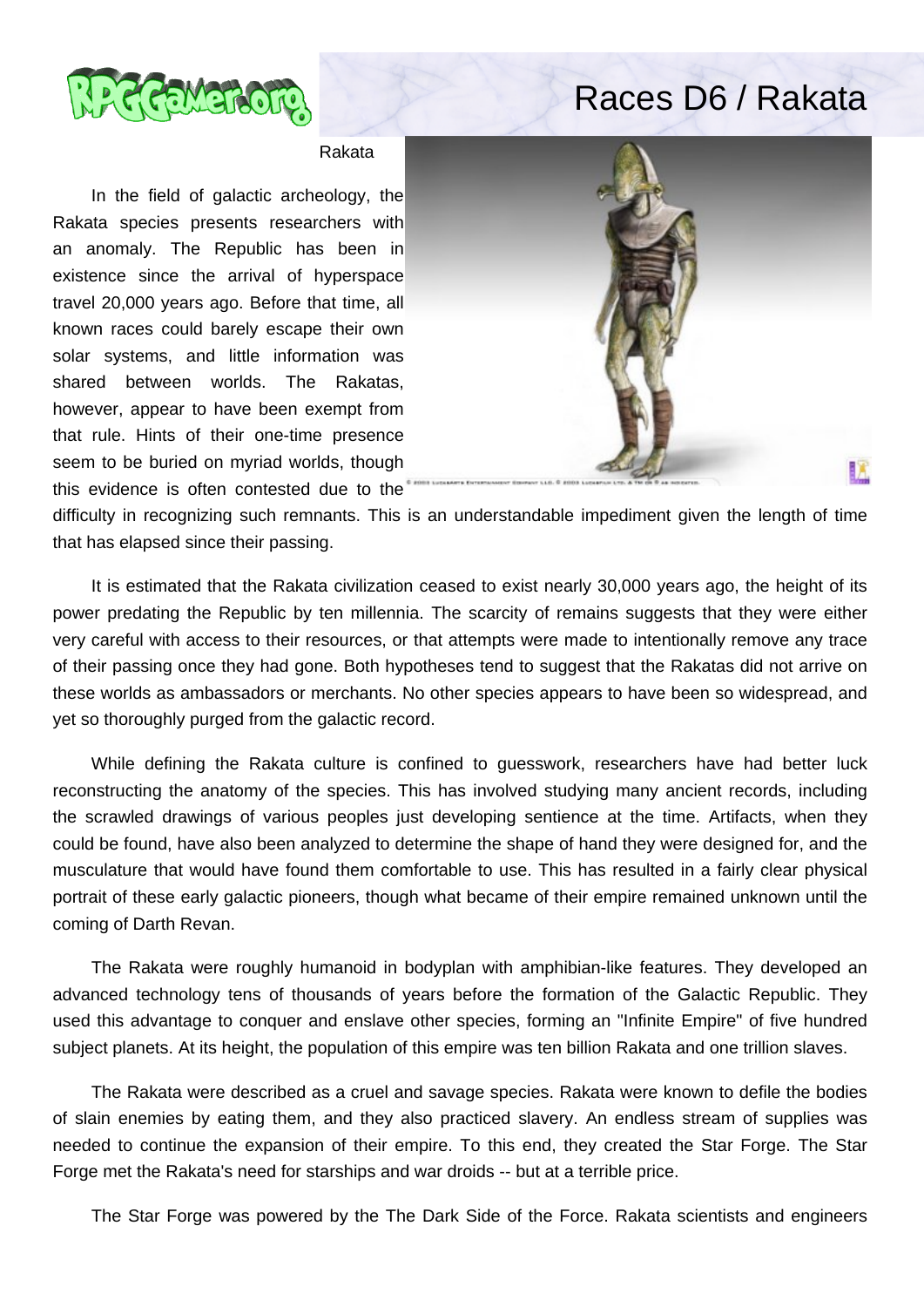

## Races D6 / Rakata

## Rakata

 In the field of galactic archeology, the Rakata species presents researchers with an anomaly. The Republic has been in existence since the arrival of hyperspace travel 20,000 years ago. Before that time, all known races could barely escape their own solar systems, and little information was shared between worlds. The Rakatas, however, appear to have been exempt from that rule. Hints of their one-time presence seem to be buried on myriad worlds, though this evidence is often contested due to the



difficulty in recognizing such remnants. This is an understandable impediment given the length of time that has elapsed since their passing.

 It is estimated that the Rakata civilization ceased to exist nearly 30,000 years ago, the height of its power predating the Republic by ten millennia. The scarcity of remains suggests that they were either very careful with access to their resources, or that attempts were made to intentionally remove any trace of their passing once they had gone. Both hypotheses tend to suggest that the Rakatas did not arrive on these worlds as ambassadors or merchants. No other species appears to have been so widespread, and yet so thoroughly purged from the galactic record.

 While defining the Rakata culture is confined to guesswork, researchers have had better luck reconstructing the anatomy of the species. This has involved studying many ancient records, including the scrawled drawings of various peoples just developing sentience at the time. Artifacts, when they could be found, have also been analyzed to determine the shape of hand they were designed for, and the musculature that would have found them comfortable to use. This has resulted in a fairly clear physical portrait of these early galactic pioneers, though what became of their empire remained unknown until the coming of Darth Revan.

 The Rakata were roughly humanoid in bodyplan with amphibian-like features. They developed an advanced technology tens of thousands of years before the formation of the Galactic Republic. They used this advantage to conquer and enslave other species, forming an "Infinite Empire" of five hundred subject planets. At its height, the population of this empire was ten billion Rakata and one trillion slaves.

 The Rakata were described as a cruel and savage species. Rakata were known to defile the bodies of slain enemies by eating them, and they also practiced slavery. An endless stream of supplies was needed to continue the expansion of their empire. To this end, they created the Star Forge. The Star Forge met the Rakata's need for starships and war droids -- but at a terrible price.

The Star Forge was powered by the The Dark Side of the Force. Rakata scientists and engineers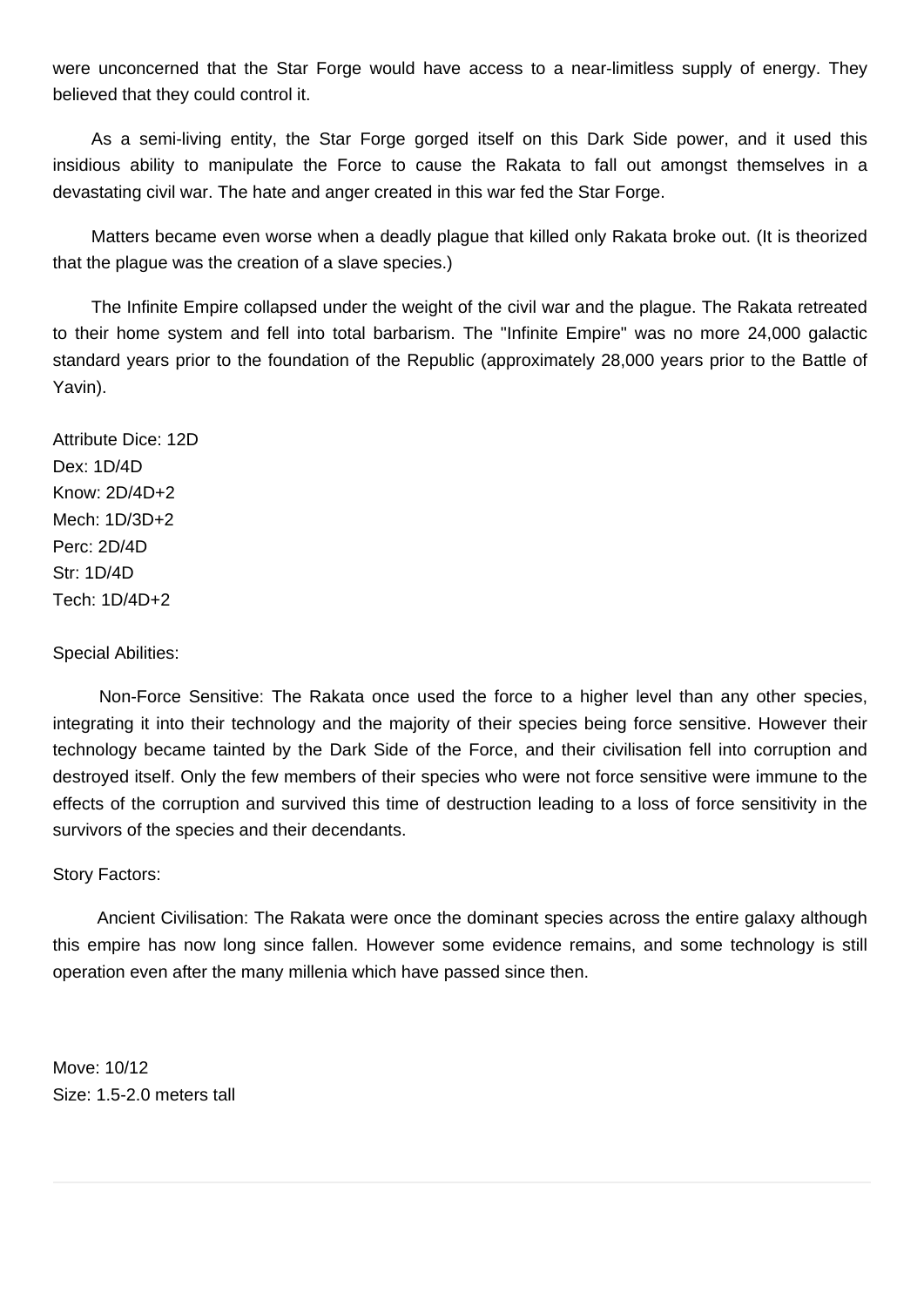were unconcerned that the Star Forge would have access to a near-limitless supply of energy. They believed that they could control it.

 As a semi-living entity, the Star Forge gorged itself on this Dark Side power, and it used this insidious ability to manipulate the Force to cause the Rakata to fall out amongst themselves in a devastating civil war. The hate and anger created in this war fed the Star Forge.

 Matters became even worse when a deadly plague that killed only Rakata broke out. (It is theorized that the plague was the creation of a slave species.)

 The Infinite Empire collapsed under the weight of the civil war and the plague. The Rakata retreated to their home system and fell into total barbarism. The "Infinite Empire" was no more 24,000 galactic standard years prior to the foundation of the Republic (approximately 28,000 years prior to the Battle of Yavin).

Attribute Dice: 12D Dex: 1D/4D Know: 2D/4D+2 Mech: 1D/3D+2 Perc: 2D/4D Str: 1D/4D Tech: 1D/4D+2

Special Abilities:

 Non-Force Sensitive: The Rakata once used the force to a higher level than any other species, integrating it into their technology and the majority of their species being force sensitive. However their technology became tainted by the Dark Side of the Force, and their civilisation fell into corruption and destroyed itself. Only the few members of their species who were not force sensitive were immune to the effects of the corruption and survived this time of destruction leading to a loss of force sensitivity in the survivors of the species and their decendants.

## Story Factors:

 Ancient Civilisation: The Rakata were once the dominant species across the entire galaxy although this empire has now long since fallen. However some evidence remains, and some technology is still operation even after the many millenia which have passed since then.

Move: 10/12 Size: 1.5-2.0 meters tall